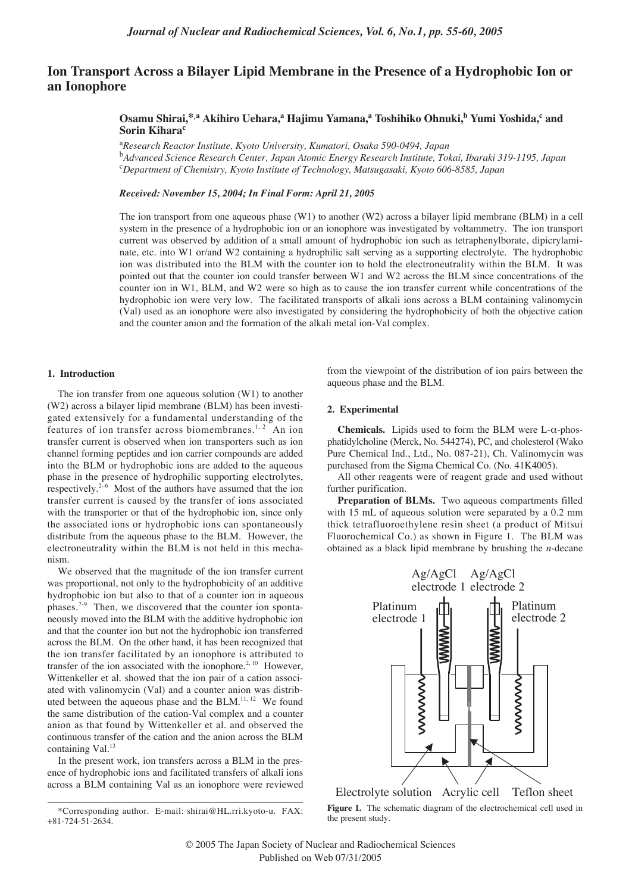# **Ion Transport Across a Bilayer Lipid Membrane in the Presence of a Hydrophobic Ion or an Ionophore**

## **Osamu Shirai,\*,a Akihiro Uehara,a Hajimu Yamana,a Toshihiko Ohnuki,b Yumi Yoshida,c and Sorin Kihara<sup>c</sup>**

a *Research Reactor Institute, Kyoto University, Kumatori, Osaka 590-0494, Japan* b *Advanced Science Research Center, Japan Atomic Energy Research Institute, Tokai, Ibaraki 319-1195, Japan* c *Department of Chemistry, Kyoto Institute of Technology, Matsugasaki, Kyoto 606-8585, Japan*

## *Received: November 15, 2004; In Final Form: April 21, 2005*

The ion transport from one aqueous phase (W1) to another (W2) across a bilayer lipid membrane (BLM) in a cell system in the presence of a hydrophobic ion or an ionophore was investigated by voltammetry. The ion transport current was observed by addition of a small amount of hydrophobic ion such as tetraphenylborate, dipicrylaminate, etc. into W1 or/and W2 containing a hydrophilic salt serving as a supporting electrolyte. The hydrophobic ion was distributed into the BLM with the counter ion to hold the electroneutrality within the BLM. It was pointed out that the counter ion could transfer between W1 and W2 across the BLM since concentrations of the counter ion in W1, BLM, and W2 were so high as to cause the ion transfer current while concentrations of the hydrophobic ion were very low. The facilitated transports of alkali ions across a BLM containing valinomycin (Val) used as an ionophore were also investigated by considering the hydrophobicity of both the objective cation and the counter anion and the formation of the alkali metal ion-Val complex.

## **1. Introduction**

The ion transfer from one aqueous solution (W1) to another (W2) across a bilayer lipid membrane (BLM) has been investigated extensively for a fundamental understanding of the features of ion transfer across biomembranes.<sup>1, 2</sup> An ion transfer current is observed when ion transporters such as ion channel forming peptides and ion carrier compounds are added into the BLM or hydrophobic ions are added to the aqueous phase in the presence of hydrophilic supporting electrolytes, respectively.2−<sup>6</sup> Most of the authors have assumed that the ion transfer current is caused by the transfer of ions associated with the transporter or that of the hydrophobic ion, since only the associated ions or hydrophobic ions can spontaneously distribute from the aqueous phase to the BLM. However, the electroneutrality within the BLM is not held in this mechanism.

We observed that the magnitude of the ion transfer current was proportional, not only to the hydrophobicity of an additive hydrophobic ion but also to that of a counter ion in aqueous phases.7-9 Then, we discovered that the counter ion spontaneously moved into the BLM with the additive hydrophobic ion and that the counter ion but not the hydrophobic ion transferred across the BLM. On the other hand, it has been recognized that the ion transfer facilitated by an ionophore is attributed to transfer of the ion associated with the ionophore.<sup>2, 10</sup> However, Wittenkeller et al. showed that the ion pair of a cation associated with valinomycin (Val) and a counter anion was distributed between the aqueous phase and the BLM.<sup>11, 12</sup> We found the same distribution of the cation-Val complex and a counter anion as that found by Wittenkeller et al. and observed the continuous transfer of the cation and the anion across the BLM containing Val.<sup>13</sup>

In the present work, ion transfers across a BLM in the presence of hydrophobic ions and facilitated transfers of alkali ions across a BLM containing Val as an ionophore were reviewed from the viewpoint of the distribution of ion pairs between the aqueous phase and the BLM.

## **2. Experimental**

**Chemicals.** Lipids used to form the BLM were L-α-phosphatidylcholine (Merck, No. 544274), PC, and cholesterol (Wako Pure Chemical Ind., Ltd., No. 087-21), Ch. Valinomycin was purchased from the Sigma Chemical Co. (No. 41K4005).

All other reagents were of reagent grade and used without further purification.

**Preparation of BLMs.** Two aqueous compartments filled with 15 mL of aqueous solution were separated by a 0.2 mm thick tetrafluoroethylene resin sheet (a product of Mitsui Fluorochemical Co.) as shown in Figure 1. The BLM was obtained as a black lipid membrane by brushing the *n*-decane



**Figure 1.** The schematic diagram of the electrochemical cell used in the present study.

<sup>\*</sup>Corresponding author. E-mail: shirai@HL.rri.kyoto-u. FAX: +81-724-51-2634.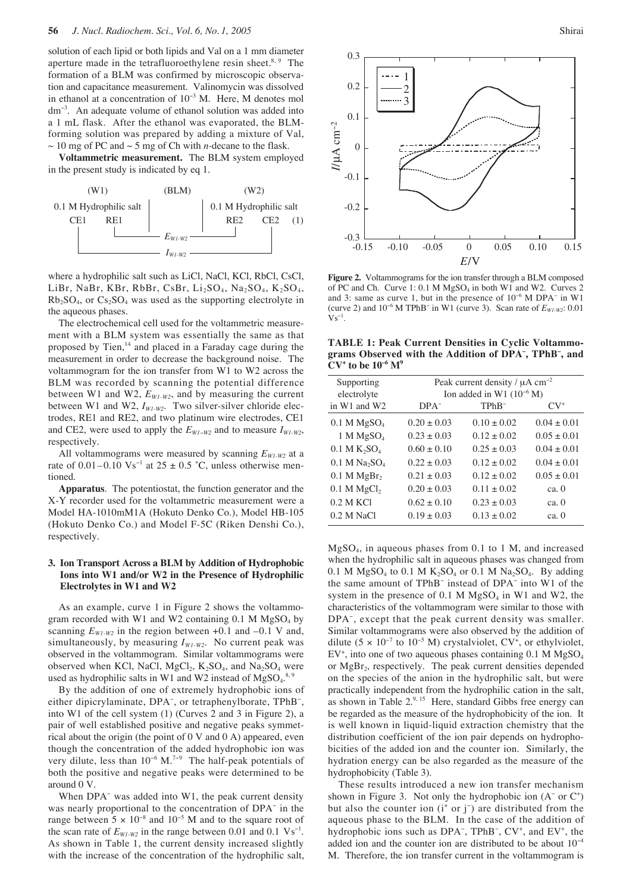solution of each lipid or both lipids and Val on a 1 mm diameter aperture made in the tetrafluoroethylene resin sheet.<sup>8, 9</sup> The formation of a BLM was confirmed by microscopic observation and capacitance measurement. Valinomycin was dissolved in ethanol at a concentration of 10<sup>−</sup><sup>3</sup> M. Here, M denotes mol dm<sup>−</sup><sup>3</sup> . An adequate volume of ethanol solution was added into a 1 mL flask. After the ethanol was evaporated, the BLMforming solution was prepared by adding a mixture of Val,  $\sim$  10 mg of PC and  $\sim$  5 mg of Ch with *n*-decane to the flask.

**Voltammetric measurement.** The BLM system employed in the present study is indicated by eq 1.



where a hydrophilic salt such as LiCl, NaCl, KCl, RbCl, CsCl, LiBr, NaBr, KBr, RbBr, CsBr, Li<sub>2</sub>SO<sub>4</sub>, Na<sub>2</sub>SO<sub>4</sub>, K<sub>2</sub>SO<sub>4</sub>,  $Rb_2SO_4$ , or  $Cs_2SO_4$  was used as the supporting electrolyte in the aqueous phases.

The electrochemical cell used for the voltammetric measurement with a BLM system was essentially the same as that proposed by Tien, $14$  and placed in a Faraday cage during the measurement in order to decrease the background noise. The voltammogram for the ion transfer from W1 to W2 across the BLM was recorded by scanning the potential difference between W1 and W2,  $E_{WI-W2}$ , and by measuring the current between W1 and W2,  $I_{WI-W2}$ . Two silver-silver chloride electrodes, RE1 and RE2, and two platinum wire electrodes, CE1 and CE2, were used to apply the  $E_{W1-W2}$  and to measure  $I_{W1-W2}$ , respectively.

All voltammograms were measured by scanning  $E_{W1-W2}$  at a rate of 0.01–0.10 Vs<sup>-1</sup> at 25 ± 0.5 °C, unless otherwise mentioned.

**Apparatus**. The potentiostat, the function generator and the X-Y recorder used for the voltammetric measurement were a Model HA-1010mM1A (Hokuto Denko Co.), Model HB-105 (Hokuto Denko Co.) and Model F-5C (Riken Denshi Co.), respectively.

## **3. Ion Transport Across a BLM by Addition of Hydrophobic Ions into W1 and/or W2 in the Presence of Hydrophilic Electrolytes in W1 and W2**

As an example, curve 1 in Figure 2 shows the voltammogram recorded with W1 and W2 containing  $0.1$  M MgSO<sub>4</sub> by scanning  $E_{W1-W2}$  in the region between +0.1 and -0.1 V and, simultaneously, by measuring  $I_{W1-W2}$ . No current peak was observed in the voltammogram. Similar voltammograms were observed when KCl, NaCl,  $MgCl_2$ ,  $K_2SO_4$ , and  $Na_2SO_4$  were used as hydrophilic salts in W1 and W2 instead of  $MgSO<sub>4</sub>$ .<sup>8, 9</sup>

By the addition of one of extremely hydrophobic ions of either dipicrylaminate, DPA<sup>-</sup>, or tetraphenylborate, TPhB<sup>-</sup>, into W1 of the cell system (1) (Curves 2 and 3 in Figure 2), a pair of well established positive and negative peaks symmetrical about the origin (the point of 0 V and 0 A) appeared, even though the concentration of the added hydrophobic ion was very dilute, less than 10<sup>−</sup><sup>6</sup> M.<sup>7</sup>−<sup>9</sup> The half-peak potentials of both the positive and negative peaks were determined to be around 0 V.

When DPA<sup>-</sup> was added into W1, the peak current density was nearly proportional to the concentration of DPA<sup>−</sup> in the range between  $5 \times 10^{-8}$  and  $10^{-5}$  M and to the square root of the scan rate of  $E_{W1-W2}$  in the range between 0.01 and 0.1 Vs<sup>-1</sup>. As shown in Table 1, the current density increased slightly with the increase of the concentration of the hydrophilic salt,



**Figure 2.** Voltammograms for the ion transfer through a BLM composed of PC and Ch. Curve  $1: 0.1$  M  $MgSO<sub>4</sub>$  in both W1 and W2. Curves 2 and 3: same as curve 1, but in the presence of 10<sup>−</sup><sup>6</sup> M DPA<sup>−</sup> in W1 (curve 2) and 10<sup>−</sup><sup>6</sup> M TPhB<sup>−</sup> in W1 (curve 3). Scan rate of *EW1-W2*: 0.01  $\mathrm{Vs^{-1}}.$ 

**TABLE 1: Peak Current Densities in Cyclic Voltammograms Observed with the Addition of DPA– , TPhB– , and CV+ to be 10–6 M9**

| Peak current density / $\mu$ A cm <sup>-2</sup><br>Supporting<br>Ion added in W1 $(10^{-6} M)$<br>electrolyte<br>in W1 and W2<br>TPh <sub>R</sub> -<br>$DPA^-$<br>$CV^*$<br>$0.1$ M MgSO <sub>4</sub><br>$0.20 \pm 0.03$<br>$0.10 + 0.02$<br>$0.04 \pm 0.01$<br>1 M MgSO <sub>4</sub><br>$0.23 + 0.03$<br>$0.12 \pm 0.02$<br>$0.05 + 0.01$<br>$0.1 M K_{2}SO_{4}$<br>$0.60 + 0.10$<br>$0.25 + 0.03$<br>$0.04 + 0.01$<br>0.1 M Na <sub>2</sub> SO <sub>4</sub><br>$0.22 + 0.03$<br>$0.12 + 0.02$<br>$0.04 \pm 0.01$<br>0.1 M MgBr <sub>2</sub><br>$0.21 \pm 0.03$<br>$0.12 \pm 0.02$<br>$0.05 \pm 0.01$<br>$0.1$ M MgCl <sub>2</sub><br>$0.20 + 0.03$<br>$0.11 + 0.02$<br>ca. 0<br>0.2 M KCl<br>$0.62 \pm 0.10$<br>$0.23 + 0.03$<br>ca. $\theta$<br>0.2 M NaCl<br>$0.19 + 0.03$<br>$0.13 + 0.02$<br>ca. 0 |  |  |  |  |
|----------------------------------------------------------------------------------------------------------------------------------------------------------------------------------------------------------------------------------------------------------------------------------------------------------------------------------------------------------------------------------------------------------------------------------------------------------------------------------------------------------------------------------------------------------------------------------------------------------------------------------------------------------------------------------------------------------------------------------------------------------------------------------------------------------|--|--|--|--|
|                                                                                                                                                                                                                                                                                                                                                                                                                                                                                                                                                                                                                                                                                                                                                                                                          |  |  |  |  |
|                                                                                                                                                                                                                                                                                                                                                                                                                                                                                                                                                                                                                                                                                                                                                                                                          |  |  |  |  |
|                                                                                                                                                                                                                                                                                                                                                                                                                                                                                                                                                                                                                                                                                                                                                                                                          |  |  |  |  |
|                                                                                                                                                                                                                                                                                                                                                                                                                                                                                                                                                                                                                                                                                                                                                                                                          |  |  |  |  |
|                                                                                                                                                                                                                                                                                                                                                                                                                                                                                                                                                                                                                                                                                                                                                                                                          |  |  |  |  |
|                                                                                                                                                                                                                                                                                                                                                                                                                                                                                                                                                                                                                                                                                                                                                                                                          |  |  |  |  |
|                                                                                                                                                                                                                                                                                                                                                                                                                                                                                                                                                                                                                                                                                                                                                                                                          |  |  |  |  |
|                                                                                                                                                                                                                                                                                                                                                                                                                                                                                                                                                                                                                                                                                                                                                                                                          |  |  |  |  |
|                                                                                                                                                                                                                                                                                                                                                                                                                                                                                                                                                                                                                                                                                                                                                                                                          |  |  |  |  |
|                                                                                                                                                                                                                                                                                                                                                                                                                                                                                                                                                                                                                                                                                                                                                                                                          |  |  |  |  |
|                                                                                                                                                                                                                                                                                                                                                                                                                                                                                                                                                                                                                                                                                                                                                                                                          |  |  |  |  |

MgSO4, in aqueous phases from 0.1 to 1 M, and increased when the hydrophilic salt in aqueous phases was changed from 0.1 M MgSO<sub>4</sub> to 0.1 M K<sub>2</sub>SO<sub>4</sub> or 0.1 M Na<sub>2</sub>SO<sub>4</sub>. By adding the same amount of TPhB<sup>−</sup> instead of DPA<sup>−</sup> into W1 of the system in the presence of  $0.1$  M MgSO<sub>4</sub> in W1 and W2, the characteristics of the voltammogram were similar to those with DPA<sup>−</sup> , except that the peak current density was smaller. Similar voltammograms were also observed by the addition of dilute (5  $\times$  10<sup>-7</sup> to 10<sup>-5</sup> M) crystalviolet, CV<sup>+</sup>, or ethylviolet, EV<sup>+</sup>, into one of two aqueous phases containing 0.1 M MgSO<sub>4</sub> or MgBr<sub>2</sub>, respectively. The peak current densities depended on the species of the anion in the hydrophilic salt, but were practically independent from the hydrophilic cation in the salt, as shown in Table 2.9, 15 Here, standard Gibbs free energy can be regarded as the measure of the hydrophobicity of the ion. It is well known in liquid-liquid extraction chemistry that the distribution coefficient of the ion pair depends on hydrophobicities of the added ion and the counter ion. Similarly, the hydration energy can be also regarded as the measure of the hydrophobicity (Table 3).

These results introduced a new ion transfer mechanism shown in Figure 3. Not only the hydrophobic ion  $(A<sup>-</sup>$  or  $C<sup>+</sup>)$ but also the counter ion (i<sup>+</sup> or j<sup>-</sup>) are distributed from the aqueous phase to the BLM. In the case of the addition of hydrophobic ions such as DPA<sup>-</sup>, TPhB<sup>-</sup>, CV<sup>+</sup>, and EV<sup>+</sup>, the added ion and the counter ion are distributed to be about 10<sup>−</sup><sup>4</sup> M. Therefore, the ion transfer current in the voltammogram is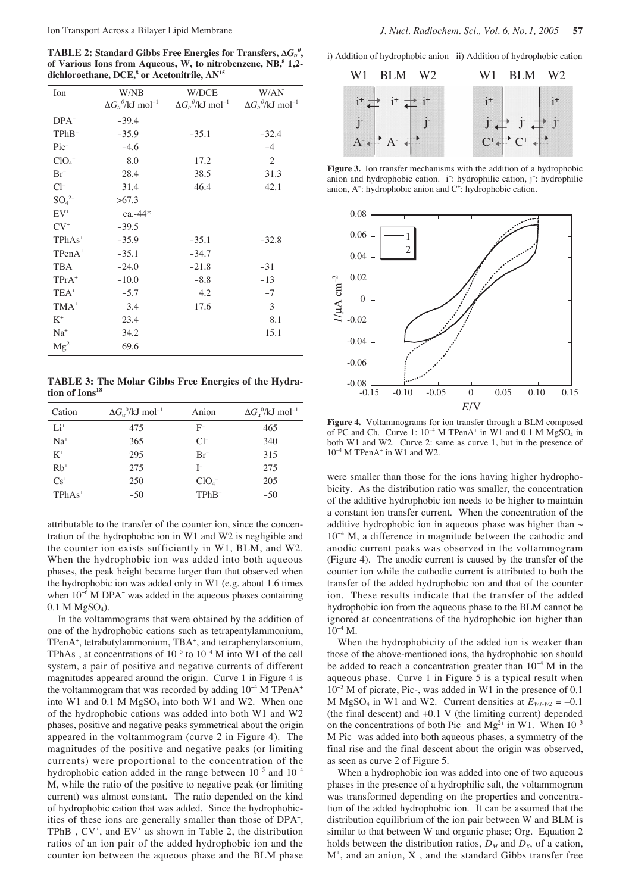$\mathbf{TABLE\ 2:}$  Standard Gibbs Free Energies for Transfers,  $\Delta G_{tr}^{\ \theta},$ **of Various Ions from Aqueous, W, to nitrobenzene, NB,8 1,2** dichloroethane, DCE,<sup>8</sup> or Acetonitrile, AN<sup>15</sup>

| Ion              | W/NB                                       | W/DCE                                      | W/AN                                     |
|------------------|--------------------------------------------|--------------------------------------------|------------------------------------------|
|                  | $\Delta G_{tr}^{\ 0}/kJ$ mol <sup>-1</sup> | $\Delta G_{tr}^{\ 0}/kJ$ mol <sup>-1</sup> | $\Delta G_{tr}^{0}/kJ$ mol <sup>-1</sup> |
| $DPA^-$          | $-39.4$                                    |                                            |                                          |
|                  |                                            |                                            |                                          |
| $TPhB^-$         | $-35.9$                                    | $-35.1$                                    | $-32.4$                                  |
| $Pic^-$          | $-4.6$                                     |                                            | $-4$                                     |
| ClO <sub>4</sub> | 8.0                                        | 17.2                                       | 2                                        |
| $Br^-$           | 28.4                                       | 38.5                                       | 31.3                                     |
| $Cl^{-}$         | 31.4                                       | 46.4                                       | 42.1                                     |
| $SO_4^{2-}$      | >67.3                                      |                                            |                                          |
| $EV^+$           | $ca. -44*$                                 |                                            |                                          |
| $CV^*$           | $-39.5$                                    |                                            |                                          |
| $TPhAs+$         | $-35.9$                                    | $-35.1$                                    | $-32.8$                                  |
| $TPenA^+$        | $-35.1$                                    | $-34.7$                                    |                                          |
| $TBA^+$          | $-24.0$                                    | $-21.8$                                    | $-31$                                    |
| $TPrA^+$         | $-10.0$                                    | $-8.8$                                     | $-13$                                    |
| TEA <sup>+</sup> | $-5.7$                                     | 4.2                                        | $-7$                                     |
| $TMA^+$          | 3.4                                        | 17.6                                       | 3                                        |
| $K^+$            | 23.4                                       |                                            | 8.1                                      |
| $Na+$            | 34.2                                       |                                            | 15.1                                     |
| $Mg^{2+}$        | 69.6                                       |                                            |                                          |

**TABLE 3: The Molar Gibbs Free Energies of the Hydration of Ions18**

| Cation   | $\Delta G_{\rm tr}^{0.0}$ /kJ mol <sup>-1</sup> | Anion              | $\Delta G_{\rm tr}^{0}/kJ$ mol <sup>-1</sup> |
|----------|-------------------------------------------------|--------------------|----------------------------------------------|
| $Li^+$   | 475                                             | $F^-$              | 465                                          |
| $Na+$    | 365                                             | $Cl^-$             | 340                                          |
| $K^+$    | 295                                             | $Br^-$             | 315                                          |
| $Rb^+$   | 275                                             | I-                 | 275                                          |
| $Cs^+$   | 250                                             | ClO <sub>4</sub>   | 205                                          |
| $TPhAs+$ | $-50$                                           | TPh <sub>B</sub> - | $-50$                                        |

attributable to the transfer of the counter ion, since the concentration of the hydrophobic ion in W1 and W2 is negligible and the counter ion exists sufficiently in W1, BLM, and W2. When the hydrophobic ion was added into both aqueous phases, the peak height became larger than that observed when the hydrophobic ion was added only in W1 (e.g. about 1.6 times when  $10^{-6}$  M DPA<sup>-</sup> was added in the aqueous phases containing  $0.1$  M MgSO<sub>4</sub>).

In the voltammograms that were obtained by the addition of one of the hydrophobic cations such as tetrapentylammonium, TPenA<sup>+</sup>, tetrabutylammonium, TBA<sup>+</sup>, and tetraphenylarsonium, TPhAs<sup>+</sup>, at concentrations of  $10^{-5}$  to  $10^{-4}$  M into W1 of the cell system, a pair of positive and negative currents of different magnitudes appeared around the origin. Curve 1 in Figure 4 is the voltammogram that was recorded by adding 10<sup>−</sup><sup>4</sup> M TPenA+ into W1 and  $0.1$  M MgSO<sub>4</sub> into both W1 and W2. When one of the hydrophobic cations was added into both W1 and W2 phases, positive and negative peaks symmetrical about the origin appeared in the voltammogram (curve 2 in Figure 4). The magnitudes of the positive and negative peaks (or limiting currents) were proportional to the concentration of the hydrophobic cation added in the range between 10<sup>−</sup><sup>5</sup> and 10<sup>−</sup><sup>4</sup> M, while the ratio of the positive to negative peak (or limiting current) was almost constant. The ratio depended on the kind of hydrophobic cation that was added. Since the hydrophobicities of these ions are generally smaller than those of DPA<sup>−</sup> , TPhB<sup>-</sup>, CV<sup>+</sup>, and EV<sup>+</sup> as shown in Table 2, the distribution ratios of an ion pair of the added hydrophobic ion and the counter ion between the aqueous phase and the BLM phase

i) Addition of hydrophobic anion ii) Addition of hydrophobic cation



**Figure 3.** Ion transfer mechanisms with the addition of a hydrophobic anion and hydrophobic cation. i<sup>+</sup>: hydrophilic cation, j<sup>-</sup>: hydrophilic anion, A<sup>-</sup>: hydrophobic anion and C<sup>+</sup>: hydrophobic cation.



**Figure 4.** Voltammograms for ion transfer through a BLM composed of PC and Ch. Curve 1:  $10^{-4}$  M TPenA<sup>+</sup> in W1 and 0.1 M MgSO<sub>4</sub> in both W1 and W2. Curve 2: same as curve 1, but in the presence of 10<sup>-4</sup> M TPenA<sup>+</sup> in W1 and W2.

were smaller than those for the ions having higher hydrophobicity. As the distribution ratio was smaller, the concentration of the additive hydrophobic ion needs to be higher to maintain a constant ion transfer current. When the concentration of the additive hydrophobic ion in aqueous phase was higher than  $\sim$ 10<sup>−</sup><sup>4</sup> M, a difference in magnitude between the cathodic and anodic current peaks was observed in the voltammogram (Figure 4). The anodic current is caused by the transfer of the counter ion while the cathodic current is attributed to both the transfer of the added hydrophobic ion and that of the counter ion. These results indicate that the transfer of the added hydrophobic ion from the aqueous phase to the BLM cannot be ignored at concentrations of the hydrophobic ion higher than  $10^{-4}$  M.

When the hydrophobicity of the added ion is weaker than those of the above-mentioned ions, the hydrophobic ion should be added to reach a concentration greater than 10<sup>−</sup><sup>4</sup> M in the aqueous phase. Curve 1 in Figure 5 is a typical result when 10<sup>−</sup><sup>3</sup> M of picrate, Pic-, was added in W1 in the presence of 0.1 M MgSO<sub>4</sub> in W1 and W2. Current densities at  $E_{W1-W2} = -0.1$ (the final descent) and +0.1 V (the limiting current) depended on the concentrations of both Pic<sup>−</sup> and Mg<sup>2+</sup> in W1. When  $10^{-3}$ M Pic<sup>−</sup> was added into both aqueous phases, a symmetry of the final rise and the final descent about the origin was observed, as seen as curve 2 of Figure 5.

When a hydrophobic ion was added into one of two aqueous phases in the presence of a hydrophilic salt, the voltammogram was transformed depending on the properties and concentration of the added hydrophobic ion. It can be assumed that the distribution equilibrium of the ion pair between W and BLM is similar to that between W and organic phase; Org. Equation 2 holds between the distribution ratios,  $D_M$  and  $D_X$ , of a cation, M<sup>+</sup>, and an anion, X<sup>-</sup>, and the standard Gibbs transfer free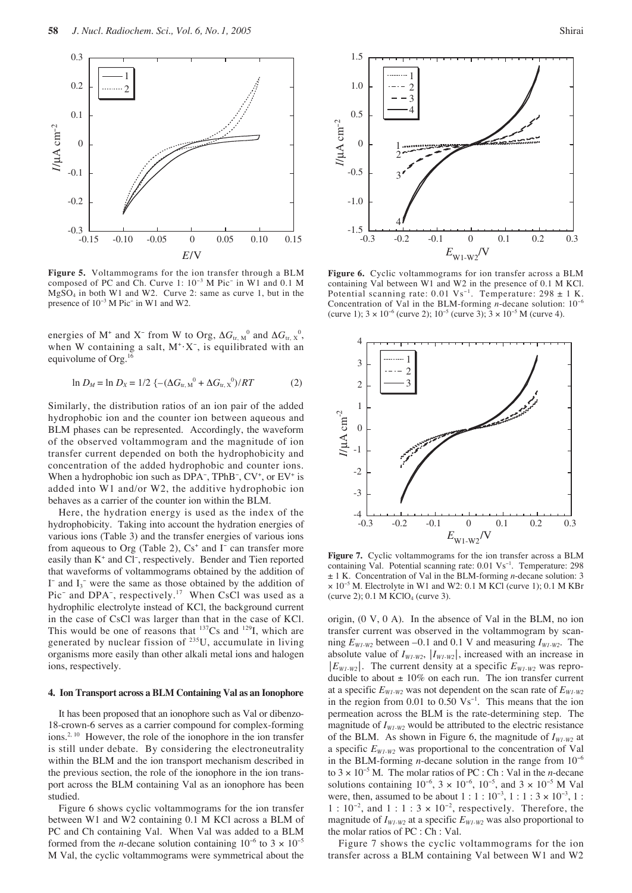

**Figure 5.** Voltammograms for the ion transfer through a BLM composed of PC and Ch. Curve 1: 10<sup>−</sup><sup>3</sup> M Pic<sup>−</sup> in W1 and 0.1 M MgSO4 in both W1 and W2. Curve 2: same as curve 1, but in the presence of 10<sup>−</sup><sup>3</sup> M Pic<sup>−</sup> in W1 and W2.

energies of M<sup>+</sup> and X<sup>-</sup> from W to Org,  $\Delta G_{tr, N}^0$  and  $\Delta G_{tr, N}^0$ , when W containing a salt, M<sup>+</sup>·X<sup>-</sup>, is equilibrated with an equivolume of Org.<sup>16</sup>

$$
\ln D_M = \ln D_X = 1/2 \left\{ -(\Delta G_{\text{tr, M}}^0 + \Delta G_{\text{tr, X}}^0)/RT \right\} \tag{2}
$$

Similarly, the distribution ratios of an ion pair of the added hydrophobic ion and the counter ion between aqueous and BLM phases can be represented. Accordingly, the waveform of the observed voltammogram and the magnitude of ion transfer current depended on both the hydrophobicity and concentration of the added hydrophobic and counter ions. When a hydrophobic ion such as DPA<sup>-</sup>, TPhB<sup>-</sup>, CV<sup>+</sup>, or EV<sup>+</sup> is added into W1 and/or W2, the additive hydrophobic ion behaves as a carrier of the counter ion within the BLM.

Here, the hydration energy is used as the index of the hydrophobicity. Taking into account the hydration energies of various ions (Table 3) and the transfer energies of various ions from aqueous to Org (Table 2),  $Cs<sup>+</sup>$  and I<sup>-</sup> can transfer more easily than K<sup>+</sup> and Cl<sup>-</sup>, respectively. Bender and Tien reported that waveforms of voltammograms obtained by the addition of I<sup>-</sup> and  $I_3$ <sup>-</sup> were the same as those obtained by the addition of Pic<sup>−</sup> and DPA<sup>-</sup>, respectively.<sup>17</sup> When CsCl was used as a hydrophilic electrolyte instead of KCl, the background current in the case of CsCl was larger than that in the case of KCl. This would be one of reasons that  $137Cs$  and  $129I$ , which are generated by nuclear fission of <sup>235</sup>U, accumulate in living organisms more easily than other alkali metal ions and halogen ions, respectively.

## **4. Ion Transport across a BLM Containing Val as an Ionophore**

It has been proposed that an ionophore such as Val or dibenzo-18-crown-6 serves as a carrier compound for complex-forming ions.<sup>2, 10</sup> However, the role of the ionophore in the ion transfer is still under debate. By considering the electroneutrality within the BLM and the ion transport mechanism described in the previous section, the role of the ionophore in the ion transport across the BLM containing Val as an ionophore has been studied.

Figure 6 shows cyclic voltammograms for the ion transfer between W1 and W2 containing 0.1 M KCl across a BLM of PC and Ch containing Val. When Val was added to a BLM formed from the *n*-decane solution containing  $10^{-6}$  to  $3 \times 10^{-5}$ M Val, the cyclic voltammograms were symmetrical about the



**Figure 6.** Cyclic voltammograms for ion transfer across a BLM containing Val between W1 and W2 in the presence of 0.1 M KCl. Potential scanning rate: 0.01 Vs<sup>−</sup><sup>1</sup> . Temperature: 298 ± 1 K. Concentration of Val in the BLM-forming *n*-decane solution: 10<sup>−</sup><sup>6</sup> (curve 1);  $3 \times 10^{-6}$  (curve 2);  $10^{-5}$  (curve 3);  $3 \times 10^{-5}$  M (curve 4).



**Figure 7.** Cyclic voltammograms for the ion transfer across a BLM containing Val. Potential scanning rate: 0.01 Vs<sup>−</sup><sup>1</sup> . Temperature: 298 ± 1 K. Concentration of Val in the BLM-forming *n*-decane solution: 3 × 10<sup>−</sup><sup>5</sup> M. Electrolyte in W1 and W2: 0.1 M KCl (curve 1); 0.1 M KBr (curve 2);  $0.1$  M KClO<sub>4</sub> (curve 3).

origin, (0 V, 0 A). In the absence of Val in the BLM, no ion transfer current was observed in the voltammogram by scanning  $E_{W1-W2}$  between -0.1 and 0.1 V and measuring  $I_{W1-W2}$ . The absolute value of  $I_{W1-W2}$ ,  $|I_{W1-W2}|$ , increased with an increase in  $|E_{WI-W2}|$ . The current density at a specific  $E_{WI-W2}$  was reproducible to about  $\pm 10\%$  on each run. The ion transfer current at a specific  $E_{W1-W2}$  was not dependent on the scan rate of  $E_{W1-W2}$ in the region from 0.01 to 0.50  $Vs^{-1}$ . This means that the ion permeation across the BLM is the rate-determining step. The magnitude of  $I_{W1-W2}$  would be attributed to the electric resistance of the BLM. As shown in Figure 6, the magnitude of  $I_{W1-W2}$  at a specific  $E_{WI-W2}$  was proportional to the concentration of Val in the BLM-forming *n*-decane solution in the range from 10<sup>−</sup><sup>6</sup> to 3 × 10<sup>−</sup><sup>5</sup> M. The molar ratios of PC : Ch : Val in the *n*-decane solutions containing  $10^{-6}$ ,  $3 \times 10^{-6}$ ,  $10^{-5}$ , and  $3 \times 10^{-5}$  M Val were, then, assumed to be about  $1:1:10^{-3}, 1:1:3 \times 10^{-3}, 1:$  $1: 10^{-2}$ , and  $1: 1: 3 \times 10^{-2}$ , respectively. Therefore, the magnitude of  $I_{W1-W2}$  at a specific  $E_{W1-W2}$  was also proportional to the molar ratios of PC : Ch : Val.

Figure 7 shows the cyclic voltammograms for the ion transfer across a BLM containing Val between W1 and W2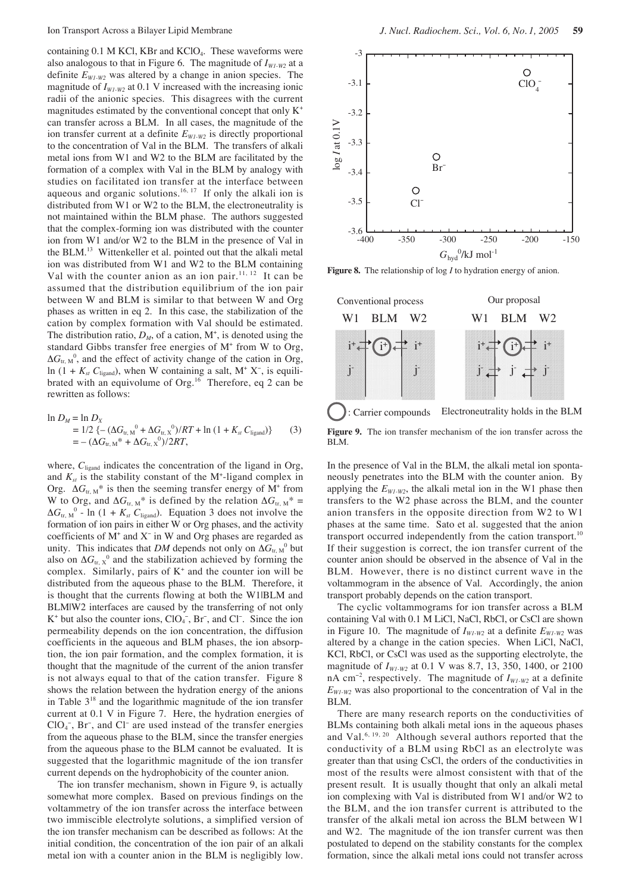containing  $0.1$  M KCl, KBr and KClO<sub>4</sub>. These waveforms were also analogous to that in Figure 6. The magnitude of  $I_{W1-W2}$  at a definite  $E_{W1-W2}$  was altered by a change in anion species. The magnitude of  $I_{W1-W2}$  at 0.1 V increased with the increasing ionic radii of the anionic species. This disagrees with the current magnitudes estimated by the conventional concept that only  $K^+$ can transfer across a BLM. In all cases, the magnitude of the ion transfer current at a definite  $E_{W_1\cdots W_2}$  is directly proportional to the concentration of Val in the BLM. The transfers of alkali metal ions from W1 and W2 to the BLM are facilitated by the formation of a complex with Val in the BLM by analogy with studies on facilitated ion transfer at the interface between aqueous and organic solutions.<sup>16, 17</sup> If only the alkali ion is distributed from W1 or W2 to the BLM, the electroneutrality is not maintained within the BLM phase. The authors suggested that the complex-forming ion was distributed with the counter ion from W1 and/or W2 to the BLM in the presence of Val in the BLM.13 Wittenkeller et al. pointed out that the alkali metal ion was distributed from W1 and W2 to the BLM containing Val with the counter anion as an ion pair.<sup>11, 12</sup> It can be assumed that the distribution equilibrium of the ion pair between W and BLM is similar to that between W and Org phases as written in eq 2. In this case, the stabilization of the cation by complex formation with Val should be estimated. The distribution ratio,  $D_M$ , of a cation,  $M^+$ , is denoted using the standard Gibbs transfer free energies of M<sup>+</sup> from W to Org,  $\Delta G_{tr, M}^0$ , and the effect of activity change of the cation in Org, ln (1 +  $K_{st}$   $C_{\text{ligand}}$ ), when W containing a salt, M<sup>+</sup> X<sup>-</sup>, is equilibrated with an equivolume of Org.<sup>16</sup> Therefore, eq 2 can be rewritten as follows:

$$
\ln D_M = \ln D_X
$$
  
= 1/2 {-(\Delta G\_{tr,M}^0 + \Delta G\_{tr,X}^0)/RT + \ln (1 + K\_{st} C\_{ligand})} (3)  
= -(\Delta G\_{tr,M}^\* + \Delta G\_{tr,X}^0)/2RT,

where, C<sub>ligand</sub> indicates the concentration of the ligand in Org, and  $K_{st}$  is the stability constant of the  $M^+$ -ligand complex in Org.  $\Delta G_{tr, M}^*$  is then the seeming transfer energy of M<sup>+</sup> from W to Org, and  $\Delta G_{tr, M}^*$  is defined by the relation  $\Delta G_{tr, M}^*$  =  $\Delta G_{tr, M}^0$  - ln (1 +  $K_{st}$   $C_{ligand}$ ). Equation 3 does not involve the formation of ion pairs in either W or Org phases, and the activity coefficients of M+ and X<sup>−</sup> in W and Org phases are regarded as unity. This indicates that *DM* depends not only on  $\Delta G_{tr, M}^0$  but also on  $\Delta G_{\text{tr, }X}^0$  and the stabilization achieved by forming the complex. Similarly, pairs of  $K^+$  and the counter ion will be distributed from the aqueous phase to the BLM. Therefore, it is thought that the currents flowing at both the W1|BLM and BLM|W2 interfaces are caused by the transferring of not only K<sup>+</sup> but also the counter ions,  $ClO<sub>4</sub><sup>-</sup>$ , Br<sup>-</sup>, and Cl<sup>-</sup>. Since the ion permeability depends on the ion concentration, the diffusion coefficients in the aqueous and BLM phases, the ion absorption, the ion pair formation, and the complex formation, it is thought that the magnitude of the current of the anion transfer is not always equal to that of the cation transfer. Figure 8 shows the relation between the hydration energy of the anions in Table  $3^{18}$  and the logarithmic magnitude of the ion transfer current at 0.1 V in Figure 7. Here, the hydration energies of ClO<sub>4</sub><sup>-</sup>, Br<sup>-</sup>, and Cl<sup>-</sup> are used instead of the transfer energies from the aqueous phase to the BLM, since the transfer energies from the aqueous phase to the BLM cannot be evaluated. It is suggested that the logarithmic magnitude of the ion transfer current depends on the hydrophobicity of the counter anion.

The ion transfer mechanism, shown in Figure 9, is actually somewhat more complex. Based on previous findings on the voltammetry of the ion transfer across the interface between two immiscible electrolyte solutions, a simplified version of the ion transfer mechanism can be described as follows: At the initial condition, the concentration of the ion pair of an alkali metal ion with a counter anion in the BLM is negligibly low.



**Figure 8.** The relationship of log *I* to hydration energy of anion.



In the presence of Val in the BLM, the alkali metal ion spontaneously penetrates into the BLM with the counter anion. By applying the  $E_{WI-W2}$ , the alkali metal ion in the W1 phase then transfers to the W2 phase across the BLM, and the counter anion transfers in the opposite direction from W2 to W1 phases at the same time. Sato et al. suggested that the anion transport occurred independently from the cation transport.<sup>10</sup> If their suggestion is correct, the ion transfer current of the counter anion should be observed in the absence of Val in the BLM. However, there is no distinct current wave in the voltammogram in the absence of Val. Accordingly, the anion transport probably depends on the cation transport.

The cyclic voltammograms for ion transfer across a BLM containing Val with 0.1 M LiCl, NaCl, RbCl, or CsCl are shown in Figure 10. The magnitude of  $I_{W1-W2}$  at a definite  $E_{W1-W2}$  was altered by a change in the cation species. When LiCl, NaCl, KCl, RbCl, or CsCl was used as the supporting electrolyte, the magnitude of *IW1-W2* at 0.1 V was 8.7, 13, 350, 1400, or 2100 nA cm<sup>-2</sup>, respectively. The magnitude of  $I_{W1-W2}$  at a definite  $E_{WI-W2}$  was also proportional to the concentration of Val in the BLM.

There are many research reports on the conductivities of BLMs containing both alkali metal ions in the aqueous phases and Val.6, 19, 20 Although several authors reported that the conductivity of a BLM using RbCl as an electrolyte was greater than that using CsCl, the orders of the conductivities in most of the results were almost consistent with that of the present result. It is usually thought that only an alkali metal ion complexing with Val is distributed from W1 and/or W2 to the BLM, and the ion transfer current is attributed to the transfer of the alkali metal ion across the BLM between W1 and W2. The magnitude of the ion transfer current was then postulated to depend on the stability constants for the complex formation, since the alkali metal ions could not transfer across